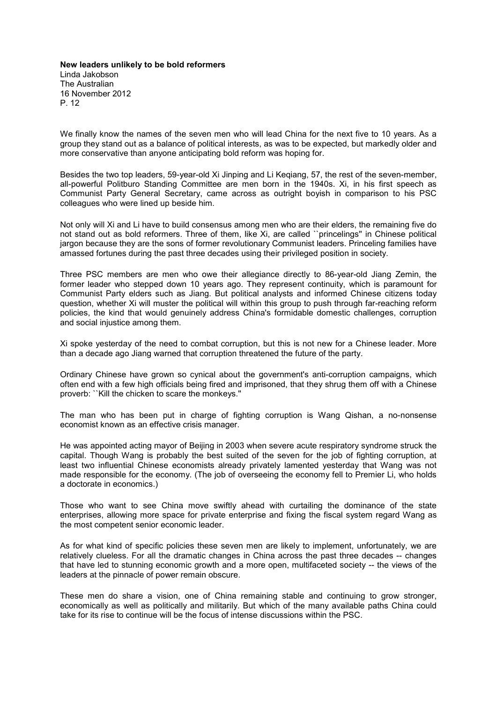**New leaders unlikely to be bold reformers** Linda Jakobson The Australian 16 November 2012 P. 12

We finally know the names of the seven men who will lead China for the next five to 10 years. As a group they stand out as a balance of political interests, as was to be expected, but markedly older and more conservative than anyone anticipating bold reform was hoping for.

Besides the two top leaders, 59-year-old Xi Jinping and Li Keqiang, 57, the rest of the seven-member, all-powerful Politburo Standing Committee are men born in the 1940s. Xi, in his first speech as Communist Party General Secretary, came across as outright boyish in comparison to his PSC colleagues who were lined up beside him.

Not only will Xi and Li have to build consensus among men who are their elders, the remaining five do not stand out as bold reformers. Three of them, like Xi, are called ``princelings'' in Chinese political jargon because they are the sons of former revolutionary Communist leaders. Princeling families have amassed fortunes during the past three decades using their privileged position in society.

Three PSC members are men who owe their allegiance directly to 86-year-old Jiang Zemin, the former leader who stepped down 10 years ago. They represent continuity, which is paramount for Communist Party elders such as Jiang. But political analysts and informed Chinese citizens today question, whether Xi will muster the political will within this group to push through far-reaching reform policies, the kind that would genuinely address China's formidable domestic challenges, corruption and social injustice among them.

Xi spoke yesterday of the need to combat corruption, but this is not new for a Chinese leader. More than a decade ago Jiang warned that corruption threatened the future of the party.

Ordinary Chinese have grown so cynical about the government's anti-corruption campaigns, which often end with a few high officials being fired and imprisoned, that they shrug them off with a Chinese proverb: ``Kill the chicken to scare the monkeys.''

The man who has been put in charge of fighting corruption is Wang Qishan, a no-nonsense economist known as an effective crisis manager.

He was appointed acting mayor of Beijing in 2003 when severe acute respiratory syndrome struck the capital. Though Wang is probably the best suited of the seven for the job of fighting corruption, at least two influential Chinese economists already privately lamented yesterday that Wang was not made responsible for the economy. (The job of overseeing the economy fell to Premier Li, who holds a doctorate in economics.)

Those who want to see China move swiftly ahead with curtailing the dominance of the state enterprises, allowing more space for private enterprise and fixing the fiscal system regard Wang as the most competent senior economic leader.

As for what kind of specific policies these seven men are likely to implement, unfortunately, we are relatively clueless. For all the dramatic changes in China across the past three decades -- changes that have led to stunning economic growth and a more open, multifaceted society -- the views of the leaders at the pinnacle of power remain obscure.

These men do share a vision, one of China remaining stable and continuing to grow stronger, economically as well as politically and militarily. But which of the many available paths China could take for its rise to continue will be the focus of intense discussions within the PSC.